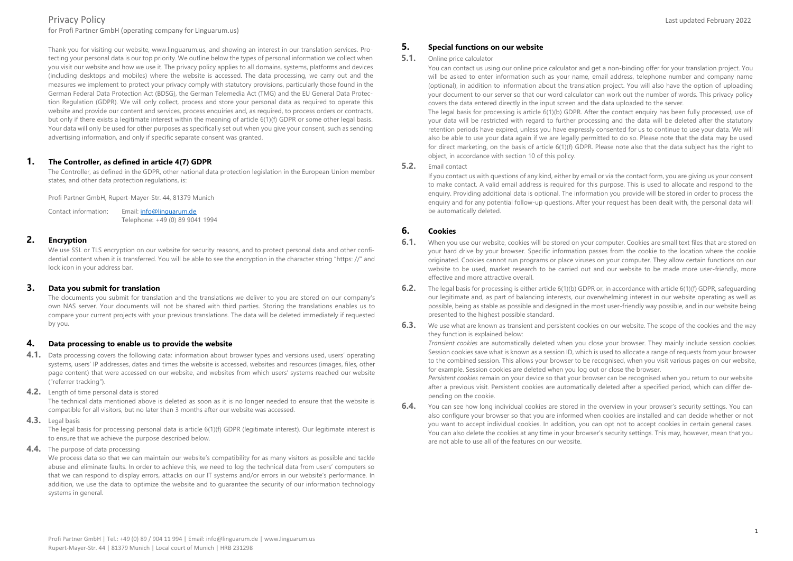for Profi Partner GmbH (operating company for Linguarum.us)

Thank you for visiting our website, www.linguarum.us, and showing an interest in our translation services. Protecting your personal data is our top priority. We outline below the types of personal information we collect when you visit our website and how we use it. The privacy policy applies to all domains, systems, platforms and devices (including desktops and mobiles) where the website is accessed. The data processing, we carry out and the measures we implement to protect your privacy comply with statutory provisions, particularly those found in the German Federal Data Protection Act (BDSG), the German Telemedia Act (TMG) and the EU General Data Protection Regulation (GDPR). We will only collect, process and store your personal data as required to operate this website and provide our content and services, process enquiries and, as required, to process orders or contracts, but only if there exists a legitimate interest within the meaning of article 6(1)(f) GDPR or some other legal basis. Your data will only be used for other purposes as specifically set out when you give your consent, such as sending advertising information, and only if specific separate consent was granted.

#### **1. The Controller, as defined in article 4(7) GDPR**

The Controller, as defined in the GDPR, other national data protection legislation in the European Union member states, and other data protection regulations, is:

Profi Partner GmbH, Rupert-Mayer-Str. 44, 81379 Munich

Contact information: Email[: info@linguarum.de](mailto:info@linguarum.de) Telephone: +49 (0) 89 9041 1994

# **2. Encryption**

We use SSL or TLS encryption on our website for security reasons, and to protect personal data and other confidential content when it is transferred. You will be able to see the encryption in the character string "https: //" and lock icon in your address bar.

## **3. Data you submit for translation**

The documents you submit for translation and the translations we deliver to you are stored on our company's own NAS server. Your documents will not be shared with third parties. Storing the translations enables us to compare your current projects with your previous translations. The data will be deleted immediately if requested by you.

#### **4. Data processing to enable us to provide the website**

- **4.1.** Data processing covers the following data: information about browser types and versions used, users' operating systems, users' IP addresses, dates and times the website is accessed, websites and resources (images, files, other page content) that were accessed on our website, and websites from which users' systems reached our website ("referrer tracking").
- **4.2.** Length of time personal data is stored

The technical data mentioned above is deleted as soon as it is no longer needed to ensure that the website is compatible for all visitors, but no later than 3 months after our website was accessed.

**4.3.** Legal basis

The legal basis for processing personal data is article 6(1)(f) GDPR (legitimate interest). Our legitimate interest is to ensure that we achieve the purpose described below.

4.4. The purpose of data processing

We process data so that we can maintain our website's compatibility for as many visitors as possible and tackle abuse and eliminate faults. In order to achieve this, we need to log the technical data from users' computers so that we can respond to display errors, attacks on our IT systems and/or errors in our website's performance. In addition, we use the data to optimize the website and to guarantee the security of our information technology systems in general.

# **5. Special functions on our website**

#### **5.1.** Online price calculator

You can contact us using our online price calculator and get a non-binding offer for your translation project. You will be asked to enter information such as your name, email address, telephone number and company name (optional), in addition to information about the translation project. You will also have the option of uploading your document to our server so that our word calculator can work out the number of words. This privacy policy covers the data entered directly in the input screen and the data uploaded to the server.

The legal basis for processing is article 6(1)(b) GDPR. After the contact enquiry has been fully processed, use of your data will be restricted with regard to further processing and the data will be deleted after the statutory retention periods have expired, unless you have expressly consented for us to continue to use your data. We will also be able to use your data again if we are legally permitted to do so. Please note that the data may be used for direct marketing, on the basis of article 6(1)(f) GDPR. Please note also that the data subject has the right to object, in accordance with section 10 of this policy.

## **5.2.** Email contact

If you contact us with questions of any kind, either by email or via the contact form, you are giving us your consent to make contact. A valid email address is required for this purpose. This is used to allocate and respond to the enquiry. Providing additional data is optional. The information you provide will be stored in order to process the enquiry and for any potential follow-up questions. After your request has been dealt with, the personal data will be automatically deleted.

# **6. Cookies**

- **6.1.** When you use our website, cookies will be stored on your computer. Cookies are small text files that are stored on your hard drive by your browser. Specific information passes from the cookie to the location where the cookie originated. Cookies cannot run programs or place viruses on your computer. They allow certain functions on our website to be used, market research to be carried out and our website to be made more user-friendly, more effective and more attractive overall.
- **6.2.** The legal basis for processing is either article 6(1)(b) GDPR or, in accordance with article 6(1)(f) GDPR, safeguarding our legitimate and, as part of balancing interests, our overwhelming interest in our website operating as well as possible, being as stable as possible and designed in the most user-friendly way possible, and in our website being presented to the highest possible standard.
- **6.3.** We use what are known as transient and persistent cookies on our website. The scope of the cookies and the way they function is explained below:

*Transient cookies* are automatically deleted when you close your browser. They mainly include session cookies. Session cookies save what is known as a session ID, which is used to allocate a range of requests from your browser to the combined session. This allows your browser to be recognised, when you visit various pages on our website, for example. Session cookies are deleted when you log out or close the browser.

*Persistent cookies* remain on your device so that your browser can be recognised when you return to our website after a previous visit. Persistent cookies are automatically deleted after a specified period, which can differ depending on the cookie.

**6.4.** You can see how long individual cookies are stored in the overview in your browser's security settings. You can also configure your browser so that you are informed when cookies are installed and can decide whether or not you want to accept individual cookies. In addition, you can opt not to accept cookies in certain general cases. You can also delete the cookies at any time in your browser's security settings. This may, however, mean that you are not able to use all of the features on our website.